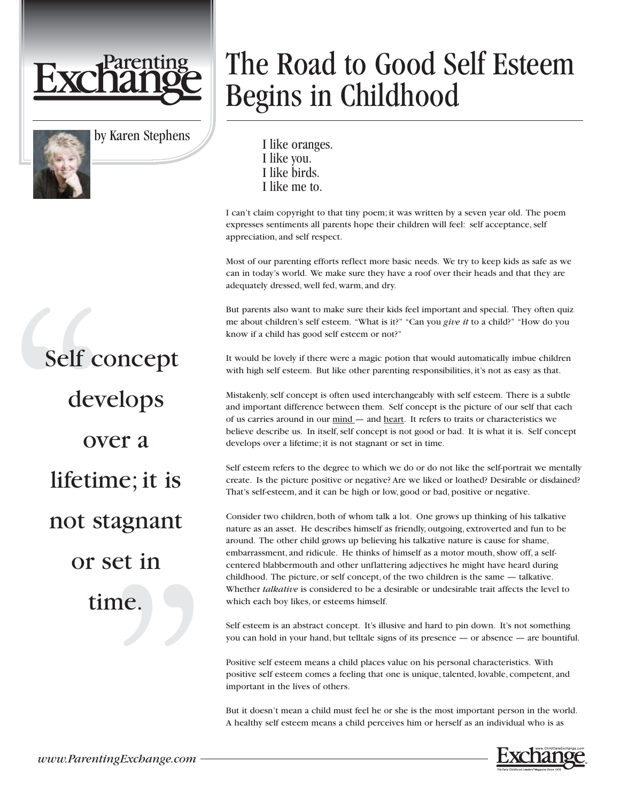



by Karen Stephens

## The Road to Good Self Esteem Begins in Childhood

I like oranges. I like you. I like birds. I like me to.

I can't claim copyright to that tiny poem; it was written by a seven year old. The poem expresses sentiments all parents hope their children will feel: self acceptance, self appreciation, and self respect.

Most of our parenting efforts reflect more basic needs. We try to keep kids as safe as we can in today's world. We make sure they have a roof over their heads and that they are adequately dressed, well fed, warm, and dry.

But parents also want to make sure their kids feel important and special. They often quiz me about children's self esteem. "What is it?" "Can you *give it* to a child?" "How do you know if a child has good self esteem or not?"

It would be lovely if there were a magic potion that would automatically imbue children with high self esteem. But like other parenting responsibilities, it's not as easy as that.

Mistakenly, self concept is often used interchangeably with self esteem. There is a subtle and important difference between them. Self concept is the picture of our self that each of us carries around in our mind — and heart. It refers to traits or characteristics we believe describe us. In itself, self concept is not good or bad. It is what it is. Self concept develops over a lifetime; it is not stagnant or set in time.

Self esteem refers to the degree to which we do or do not like the self-portrait we mentally create. Is the picture positive or negative? Are we liked or loathed? Desirable or disdained? That's self-esteem, and it can be high or low, good or bad, positive or negative.

Consider two children, both of whom talk a lot. One grows up thinking of his talkative nature as an asset. He describes himself as friendly, outgoing, extroverted and fun to be around. The other child grows up believing his talkative nature is cause for shame, embarrassment, and ridicule. He thinks of himself as a motor mouth, show off, a selfcentered blabbermouth and other unflattering adjectives he might have heard during childhood. The picture, or self concept, of the two children is the same — talkative. Whether *talkative* is considered to be a desirable or undesirable trait affects the level to which each boy likes, or esteems himself.

Self esteem is an abstract concept. It's illusive and hard to pin down. It's not something you can hold in your hand, but telltale signs of its presence — or absence — are bountiful.

Positive self esteem means a child places value on his personal characteristics. With positive self esteem comes a feeling that one is unique, talented, lovable, competent, and important in the lives of others.

But it doesn't mean a child must feel he or she is the most important person in the world. A healthy self esteem means a child perceives him or herself as an individual who is as

Self concept develops over a lifetime; it is not stagnant or set in time.